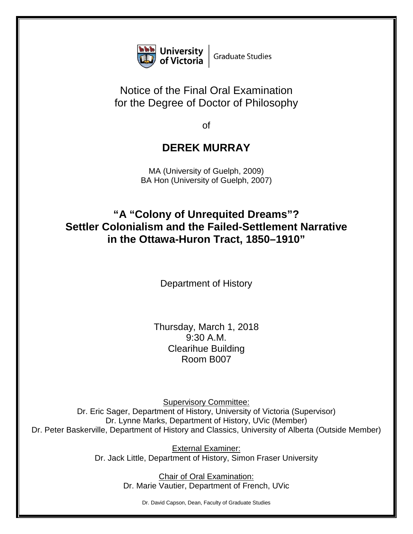

## Notice of the Final Oral Examination for the Degree of Doctor of Philosophy

of

## **DEREK MURRAY**

MA (University of Guelph, 2009) BA Hon (University of Guelph, 2007)

## **"A "Colony of Unrequited Dreams"? Settler Colonialism and the Failed-Settlement Narrative in the Ottawa-Huron Tract, 1850–1910"**

Department of History

Thursday, March 1, 2018 9:30 A.M. Clearihue Building Room B007

Supervisory Committee: Dr. Eric Sager, Department of History, University of Victoria (Supervisor) Dr. Lynne Marks, Department of History, UVic (Member) Dr. Peter Baskerville, Department of History and Classics, University of Alberta (Outside Member)

> External Examiner: Dr. Jack Little, Department of History, Simon Fraser University

> > Chair of Oral Examination: Dr. Marie Vautier, Department of French, UVic

> > > Dr. David Capson, Dean, Faculty of Graduate Studies